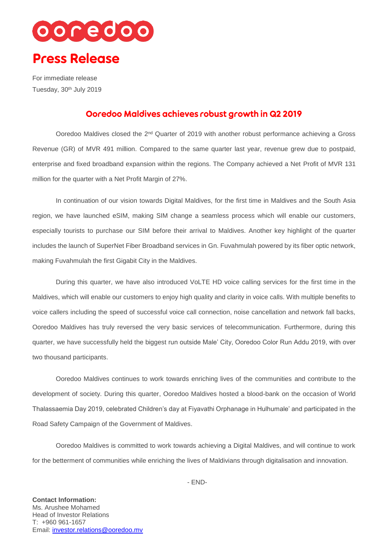

For immediate release Tuesday, 30<sup>th</sup> July 2019

## Ooredoo Maldives achieves robust growth in Q2 2019

Ooredoo Maldives closed the 2<sup>nd</sup> Quarter of 2019 with another robust performance achieving a Gross Revenue (GR) of MVR 491 million. Compared to the same quarter last year, revenue grew due to postpaid, enterprise and fixed broadband expansion within the regions. The Company achieved a Net Profit of MVR 131 million for the quarter with a Net Profit Margin of 27%.

In continuation of our vision towards Digital Maldives, for the first time in Maldives and the South Asia region, we have launched eSIM, making SIM change a seamless process which will enable our customers, especially tourists to purchase our SIM before their arrival to Maldives. Another key highlight of the quarter includes the launch of SuperNet Fiber Broadband services in Gn. Fuvahmulah powered by its fiber optic network, making Fuvahmulah the first Gigabit City in the Maldives.

During this quarter, we have also introduced VoLTE HD voice calling services for the first time in the Maldives, which will enable our customers to enjoy high quality and clarity in voice calls. With multiple benefits to voice callers including the speed of successful voice call connection, noise cancellation and network fall backs, Ooredoo Maldives has truly reversed the very basic services of telecommunication. Furthermore, during this quarter, we have successfully held the biggest run outside Male' City, Ooredoo Color Run Addu 2019, with over two thousand participants.

Ooredoo Maldives continues to work towards enriching lives of the communities and contribute to the development of society. During this quarter, Ooredoo Maldives hosted a blood-bank on the occasion of World Thalassaemia Day 2019, celebrated Children's day at Fiyavathi Orphanage in Hulhumale' and participated in the Road Safety Campaign of the Government of Maldives.

Ooredoo Maldives is committed to work towards achieving a Digital Maldives, and will continue to work for the betterment of communities while enriching the lives of Maldivians through digitalisation and innovation.

- END-